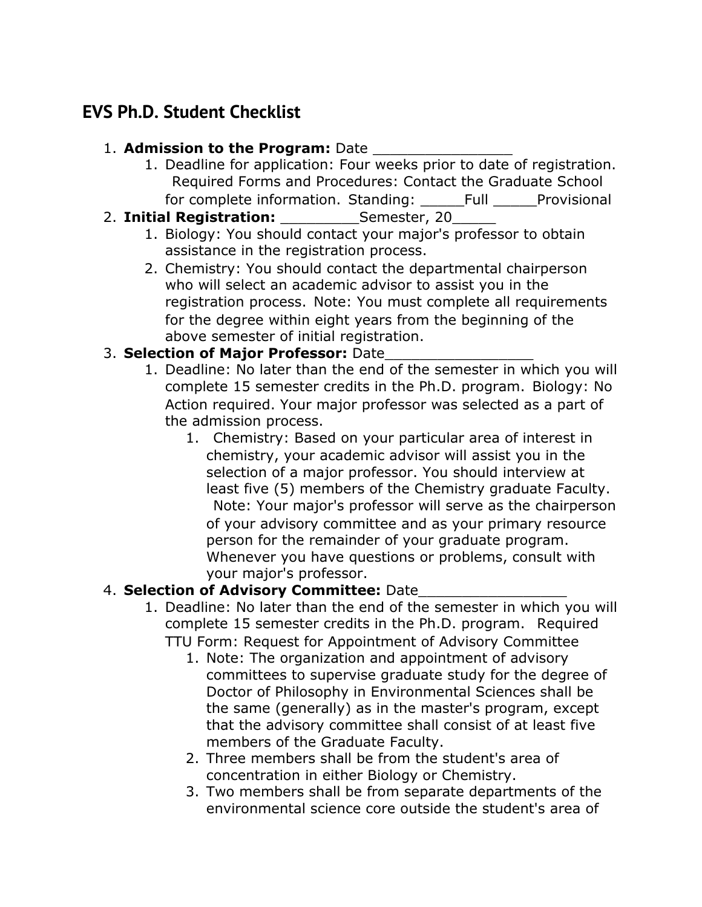# **EVS Ph.D. Student Checklist**

### 1. **Admission to the Program:** Date

- 1. Deadline for application: Four weeks prior to date of registration. Required Forms and Procedures: Contact the Graduate School for complete information. Standing: \_\_\_\_\_Full \_\_\_\_\_Provisional
- 2. **Initial Registration:** Semester, 20
	- 1. Biology: You should contact your major's professor to obtain assistance in the registration process.
	- 2. Chemistry: You should contact the departmental chairperson who will select an academic advisor to assist you in the registration process. Note: You must complete all requirements for the degree within eight years from the beginning of the above semester of initial registration.

## 3. Selection of Major Professor: Date

- 1. Deadline: No later than the end of the semester in which you will complete 15 semester credits in the Ph.D. program. Biology: No Action required. Your major professor was selected as a part of the admission process.
	- 1. Chemistry: Based on your particular area of interest in chemistry, your academic advisor will assist you in the selection of a major professor. You should interview at least five (5) members of the Chemistry graduate Faculty. Note: Your major's professor will serve as the chairperson of your advisory committee and as your primary resource person for the remainder of your graduate program. Whenever you have questions or problems, consult with your major's professor.

# 4. **Selection of Advisory Committee:** Date\_\_\_\_\_\_\_\_\_\_\_\_\_\_\_\_\_

- 1. Deadline: No later than the end of the semester in which you will complete 15 semester credits in the Ph.D. program. Required TTU Form: Request for Appointment of Advisory Committee
	- 1. Note: The organization and appointment of advisory committees to supervise graduate study for the degree of Doctor of Philosophy in Environmental Sciences shall be the same (generally) as in the master's program, except that the advisory committee shall consist of at least five members of the Graduate Faculty.
	- 2. Three members shall be from the student's area of concentration in either Biology or Chemistry.
	- 3. Two members shall be from separate departments of the environmental science core outside the student's area of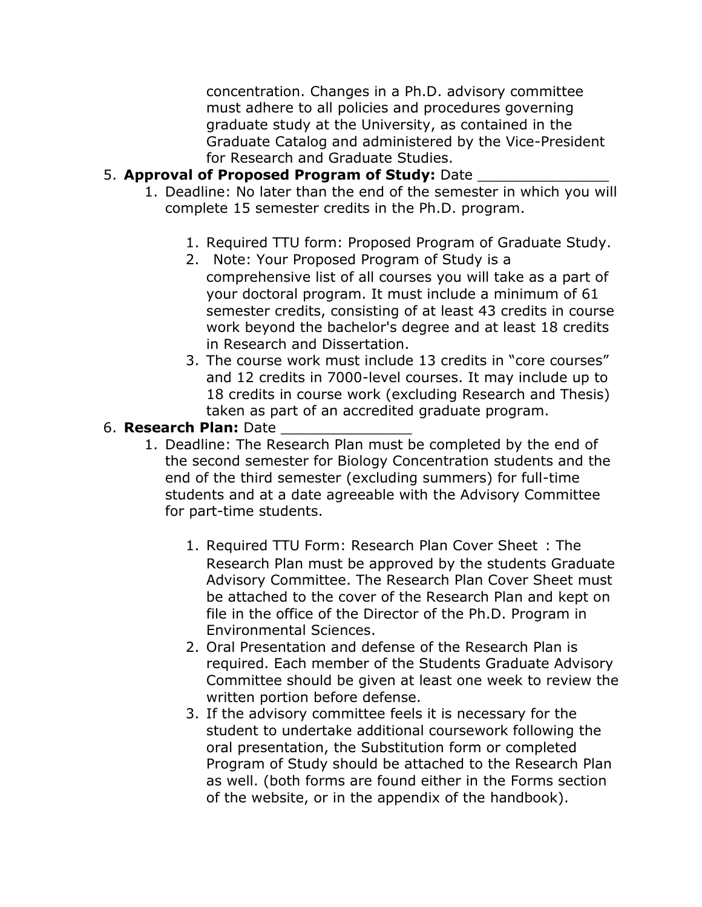concentration. Changes in a Ph.D. advisory committee must adhere to all policies and procedures governing graduate study at the University, as contained in the Graduate Catalog and administered by the Vice-President for Research and Graduate Studies.

#### 5. **Approval of Proposed Program of Study:** Date

- 1. Deadline: No later than the end of the semester in which you will complete 15 semester credits in the Ph.D. program.
	- 1. Required TTU form: Proposed Program of Graduate Study.
	- 2. Note: Your Proposed Program of Study is a comprehensive list of all courses you will take as a part of your doctoral program. It must include a minimum of 61 semester credits, consisting of at least 43 credits in course work beyond the bachelor's degree and at least 18 credits in Research and Dissertation.
	- 3. The course work must include 13 credits in "core courses" and 12 credits in 7000-level courses. It may include up to 18 credits in course work (excluding Research and Thesis) taken as part of an accredited graduate program.

#### 6. **Research Plan:** Date

- 1. Deadline: The Research Plan must be completed by the end of the second semester for Biology Concentration students and the end of the third semester (excluding summers) for full-time students and at a date agreeable with the Advisory Committee for part-time students.
	- 1. Required TTU Form: Research Plan Cover Sheet : The Research Plan must be approved by the students Graduate Advisory Committee. The Research Plan Cover Sheet must be attached to the cover of the Research Plan and kept on file in the office of the Director of the Ph.D. Program in Environmental Sciences.
	- 2. Oral Presentation and defense of the Research Plan is required. Each member of the Students Graduate Advisory Committee should be given at least one week to review the written portion before defense.
	- 3. If the advisory committee feels it is necessary for the student to undertake additional coursework following the oral presentation, the Substitution form or completed Program of Study should be attached to the Research Plan as well. (both forms are found either in the Forms section of the website, or in the appendix of the handbook).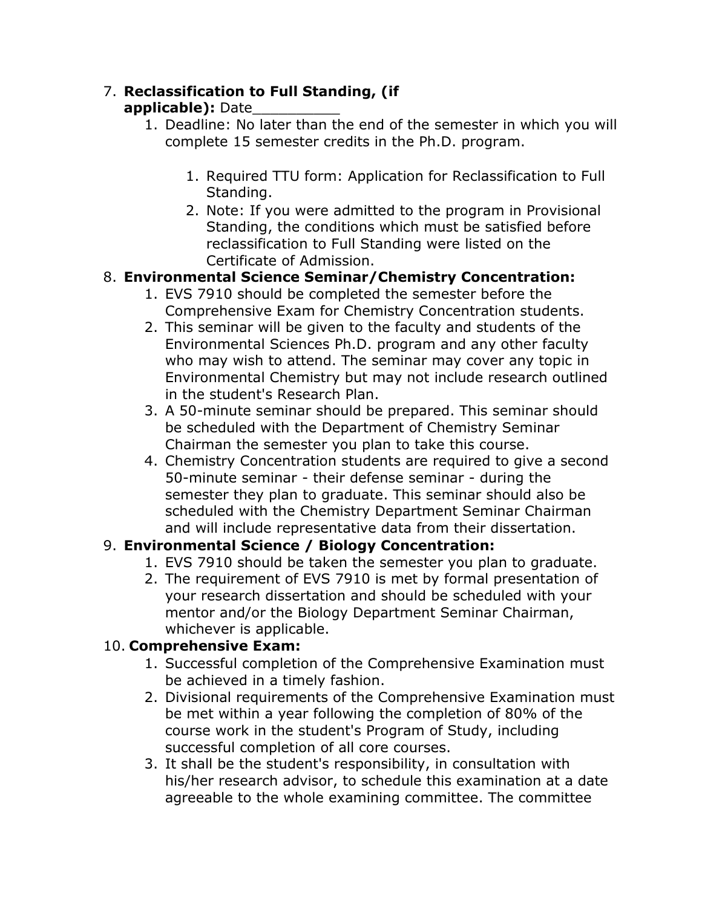# 7. **Reclassification to Full Standing, (if**

### **applicable):** Date\_\_\_\_\_\_\_\_\_\_

- 1. Deadline: No later than the end of the semester in which you will complete 15 semester credits in the Ph.D. program.
	- 1. Required TTU form: Application for Reclassification to Full Standing.
	- 2. Note: If you were admitted to the program in Provisional Standing, the conditions which must be satisfied before reclassification to Full Standing were listed on the Certificate of Admission.

# 8. **Environmental Science Seminar/Chemistry Concentration:**

- 1. EVS 7910 should be completed the semester before the Comprehensive Exam for Chemistry Concentration students.
- 2. This seminar will be given to the faculty and students of the Environmental Sciences Ph.D. program and any other faculty who may wish to attend. The seminar may cover any topic in Environmental Chemistry but may not include research outlined in the student's Research Plan.
- 3. A 50-minute seminar should be prepared. This seminar should be scheduled with the Department of Chemistry Seminar Chairman the semester you plan to take this course.
- 4. Chemistry Concentration students are required to give a second 50-minute seminar - their defense seminar - during the semester they plan to graduate. This seminar should also be scheduled with the Chemistry Department Seminar Chairman and will include representative data from their dissertation.

# 9. **Environmental Science / Biology Concentration:**

- 1. EVS 7910 should be taken the semester you plan to graduate.
- 2. The requirement of EVS 7910 is met by formal presentation of your research dissertation and should be scheduled with your mentor and/or the Biology Department Seminar Chairman, whichever is applicable.

### 10. **Comprehensive Exam:**

- 1. Successful completion of the Comprehensive Examination must be achieved in a timely fashion.
- 2. Divisional requirements of the Comprehensive Examination must be met within a year following the completion of 80% of the course work in the student's Program of Study, including successful completion of all core courses.
- 3. It shall be the student's responsibility, in consultation with his/her research advisor, to schedule this examination at a date agreeable to the whole examining committee. The committee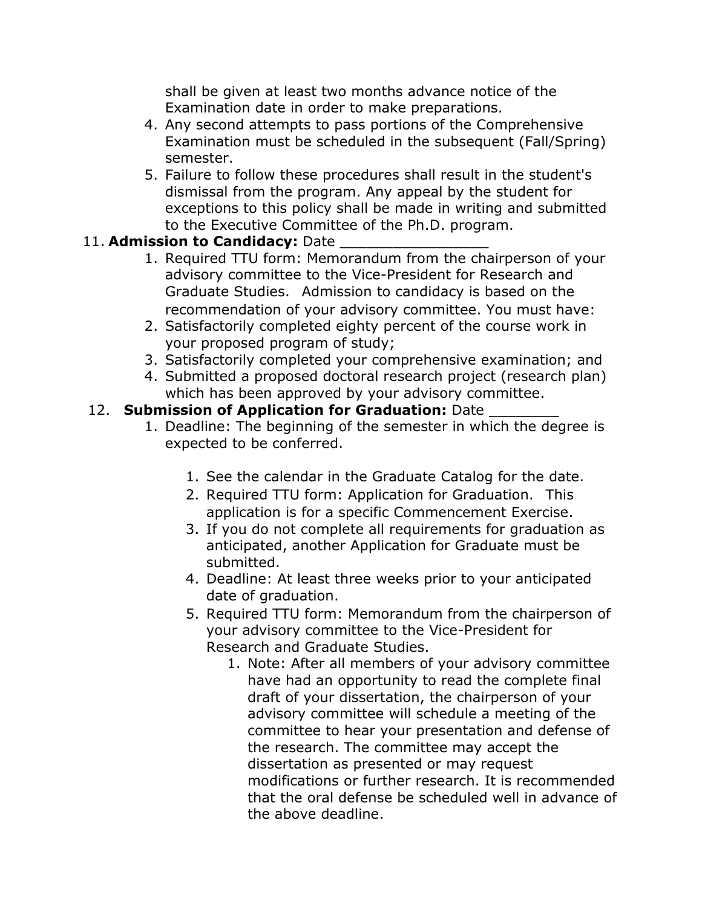shall be given at least two months advance notice of the Examination date in order to make preparations.

- 4. Any second attempts to pass portions of the Comprehensive Examination must be scheduled in the subsequent (Fall/Spring) semester.
- 5. Failure to follow these procedures shall result in the student's dismissal from the program. Any appeal by the student for exceptions to this policy shall be made in writing and submitted to the Executive Committee of the Ph.D. program.

### 11. **Admission to Candidacy:** Date

- 1. Required TTU form: Memorandum from the chairperson of your advisory committee to the Vice-President for Research and Graduate Studies. Admission to candidacy is based on the recommendation of your advisory committee. You must have:
- 2. Satisfactorily completed eighty percent of the course work in your proposed program of study;
- 3. Satisfactorily completed your comprehensive examination; and
- 4. Submitted a proposed doctoral research project (research plan) which has been approved by your advisory committee.

### 12. **Submission of Application for Graduation:** Date

- 1. Deadline: The beginning of the semester in which the degree is expected to be conferred.
	- 1. See the calendar in the Graduate Catalog for the date.
	- 2. Required TTU form: Application for Graduation. This application is for a specific Commencement Exercise.
	- 3. If you do not complete all requirements for graduation as anticipated, another Application for Graduate must be submitted.
	- 4. Deadline: At least three weeks prior to your anticipated date of graduation.
	- 5. Required TTU form: Memorandum from the chairperson of your advisory committee to the Vice-President for Research and Graduate Studies.
		- 1. Note: After all members of your advisory committee have had an opportunity to read the complete final draft of your dissertation, the chairperson of your advisory committee will schedule a meeting of the committee to hear your presentation and defense of the research. The committee may accept the dissertation as presented or may request modifications or further research. It is recommended that the oral defense be scheduled well in advance of the above deadline.